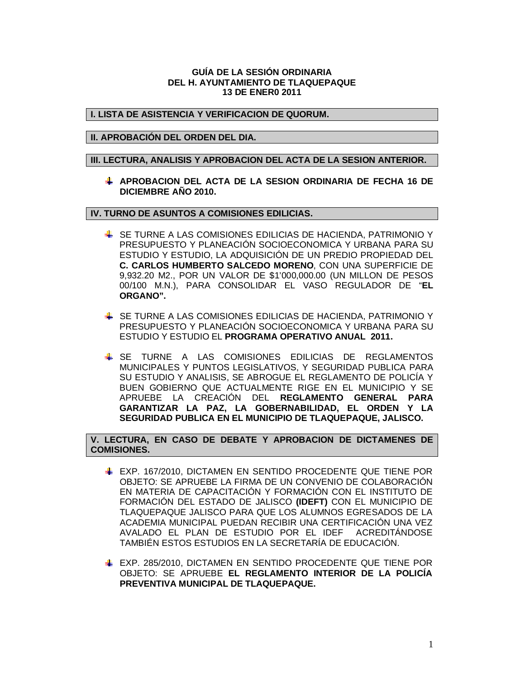### **GUÍA DE LA SESIÓN ORDINARIA DEL H. AYUNTAMIENTO DE TLAQUEPAQUE 13 DE ENER0 2011**

# **I. LISTA DE ASISTENCIA Y VERIFICACION DE QUORUM.**

# **II. APROBACIÓN DEL ORDEN DEL DIA.**

#### **III. LECTURA, ANALISIS Y APROBACION DEL ACTA DE LA SESION ANTERIOR.**

**APROBACION DEL ACTA DE LA SESION ORDINARIA DE FECHA 16 DE DICIEMBRE AÑO 2010.**

**IV. TURNO DE ASUNTOS A COMISIONES EDILICIAS.**

- SE TURNE A LAS COMISIONES EDILICIAS DE HACIENDA, PATRIMONIO Y PRESUPUESTO Y PLANEACIÓN SOCIOECONOMICA Y URBANA PARA SU ESTUDIO Y ESTUDIO, LA ADQUISICIÓN DE UN PREDIO PROPIEDAD DEL **C. CARLOS HUMBERTO SALCEDO MORENO**, CON UNA SUPERFICIE DE 9,932.20 M2., POR UN VALOR DE \$1'000,000.00 (UN MILLON DE PESOS 00/100 M.N.), PARA CONSOLIDAR EL VASO REGULADOR DE "**EL ORGANO".**
- SE TURNE A LAS COMISIONES EDILICIAS DE HACIENDA, PATRIMONIO Y PRESUPUESTO Y PLANEACIÓN SOCIOECONOMICA Y URBANA PARA SU ESTUDIO Y ESTUDIO EL **PROGRAMA OPERATIVO ANUAL 2011.**
- SE TURNE A LAS COMISIONES EDILICIAS DE REGLAMENTOS MUNICIPALES Y PUNTOS LEGISLATIVOS, Y SEGURIDAD PUBLICA PARA SU ESTUDIO Y ANALISIS, SE ABROGUE EL REGLAMENTO DE POLICÍA Y BUEN GOBIERNO QUE ACTUALMENTE RIGE EN EL MUNICIPIO Y SE APRUEBE LA CREACIÓN DEL **REGLAMENTO GENERAL PARA GARANTIZAR LA PAZ, LA GOBERNABILIDAD, EL ORDEN Y LA SEGURIDAD PUBLICA EN EL MUNICIPIO DE TLAQUEPAQUE, JALISCO.**

**V. LECTURA, EN CASO DE DEBATE Y APROBACION DE DICTAMENES DE COMISIONES.**

- EXP. 167/2010, DICTAMEN EN SENTIDO PROCEDENTE QUE TIENE POR OBJETO: SE APRUEBE LA FIRMA DE UN CONVENIO DE COLABORACIÓN EN MATERIA DE CAPACITACIÓN Y FORMACIÓN CON EL INSTITUTO DE FORMACIÓN DEL ESTADO DE JALISCO **(IDEFT)** CON EL MUNICIPIO DE TLAQUEPAQUE JALISCO PARA QUE LOS ALUMNOS EGRESADOS DE LA ACADEMIA MUNICIPAL PUEDAN RECIBIR UNA CERTIFICACIÓN UNA VEZ AVALADO EL PLAN DE ESTUDIO POR EL IDEF ACREDITÁNDOSE TAMBIÉN ESTOS ESTUDIOS EN LA SECRETARÍA DE EDUCACIÓN.
- EXP. 285/2010, DICTAMEN EN SENTIDO PROCEDENTE QUE TIENE POR OBJETO: SE APRUEBE **EL REGLAMENTO INTERIOR DE LA POLICÍA PREVENTIVA MUNICIPAL DE TLAQUEPAQUE.**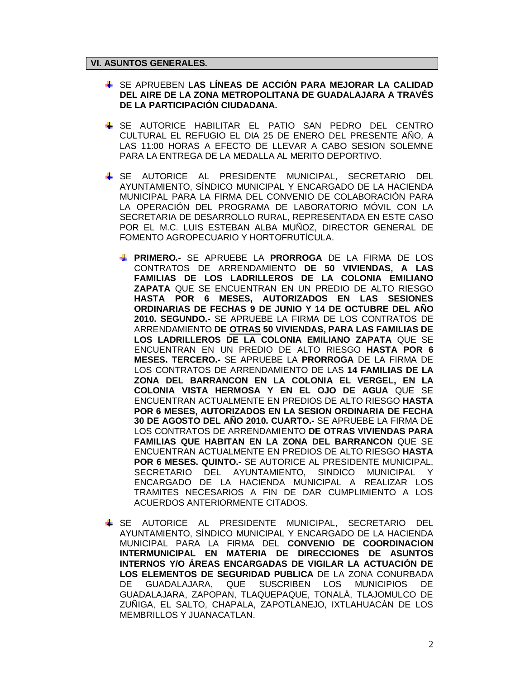#### **VI. ASUNTOS GENERALES.**

- SE APRUEBEN **LAS LÍNEAS DE ACCIÓN PARA MEJORAR LA CALIDAD DEL AIRE DE LA ZONA METROPOLITANA DE GUADALAJARA A TRAVÉS DE LA PARTICIPACIÓN CIUDADANA.**
- SE AUTORICE HABILITAR EL PATIO SAN PEDRO DEL CENTRO CULTURAL EL REFUGIO EL DIA 25 DE ENERO DEL PRESENTE AÑO, A LAS 11:00 HORAS A EFECTO DE LLEVAR A CABO SESION SOLEMNE PARA LA ENTREGA DE LA MEDALLA AL MERITO DEPORTIVO.
- SE AUTORICE AL PRESIDENTE MUNICIPAL, SECRETARIO DEL AYUNTAMIENTO, SÍNDICO MUNICIPAL Y ENCARGADO DE LA HACIENDA MUNICIPAL PARA LA FIRMA DEL CONVENIO DE COLABORACIÓN PARA LA OPERACIÓN DEL PROGRAMA DE LABORATORIO MÓVIL CON LA SECRETARIA DE DESARROLLO RURAL, REPRESENTADA EN ESTE CASO POR EL M.C. LUIS ESTEBAN ALBA MUÑOZ, DIRECTOR GENERAL DE FOMENTO AGROPECUARIO Y HORTOFRUTÍCULA.
	- **PRIMERO.-** SE APRUEBE LA **PRORROGA** DE LA FIRMA DE LOS CONTRATOS DE ARRENDAMIENTO **DE 50 VIVIENDAS, A LAS FAMILIAS DE LOS LADRILLEROS DE LA COLONIA EMILIANO ZAPATA** QUE SE ENCUENTRAN EN UN PREDIO DE ALTO RIESGO **HASTA POR 6 MESES, AUTORIZADOS EN LAS SESIONES ORDINARIAS DE FECHAS 9 DE JUNIO Y 14 DE OCTUBRE DEL AÑO 2010. SEGUNDO.-** SE APRUEBE LA FIRMA DE LOS CONTRATOS DE ARRENDAMIENTO **DE OTRAS 50 VIVIENDAS, PARA LAS FAMILIAS DE LOS LADRILLEROS DE LA COLONIA EMILIANO ZAPATA** QUE SE ENCUENTRAN EN UN PREDIO DE ALTO RIESGO **HASTA POR 6 MESES. TERCERO.-** SE APRUEBE LA **PRORROGA** DE LA FIRMA DE LOS CONTRATOS DE ARRENDAMIENTO DE LAS **14 FAMILIAS DE LA ZONA DEL BARRANCON EN LA COLONIA EL VERGEL, EN LA COLONIA VISTA HERMOSA Y EN EL OJO DE AGUA** QUE SE ENCUENTRAN ACTUALMENTE EN PREDIOS DE ALTO RIESGO **HASTA POR 6 MESES, AUTORIZADOS EN LA SESION ORDINARIA DE FECHA 30 DE AGOSTO DEL AÑO 2010. CUARTO.-** SE APRUEBE LA FIRMA DE LOS CONTRATOS DE ARRENDAMIENTO **DE OTRAS VIVIENDAS PARA FAMILIAS QUE HABITAN EN LA ZONA DEL BARRANCON** QUE SE ENCUENTRAN ACTUALMENTE EN PREDIOS DE ALTO RIESGO **HASTA POR 6 MESES. QUINTO.-** SE AUTORICE AL PRESIDENTE MUNICIPAL, SECRETARIO DEL AYUNTAMIENTO, SINDICO MUNICIPAL Y ENCARGADO DE LA HACIENDA MUNICIPAL A REALIZAR LOS TRAMITES NECESARIOS A FIN DE DAR CUMPLIMIENTO A LOS ACUERDOS ANTERIORMENTE CITADOS.
- SE AUTORICE AL PRESIDENTE MUNICIPAL, SECRETARIO DEL AYUNTAMIENTO, SÍNDICO MUNICIPAL Y ENCARGADO DE LA HACIENDA MUNICIPAL PARA LA FIRMA DEL **CONVENIO DE COORDINACION INTERMUNICIPAL EN MATERIA DE DIRECCIONES DE ASUNTOS INTERNOS Y/O ÁREAS ENCARGADAS DE VIGILAR LA ACTUACIÓN DE LOS ELEMENTOS DE SEGURIDAD PUBLICA** DE LA ZONA CONURBADA DE GUADALAJARA, QUE SUSCRIBEN LOS MUNICIPIOS DE GUADALAJARA, ZAPOPAN, TLAQUEPAQUE, TONALÁ, TLAJOMULCO DE ZUÑIGA, EL SALTO, CHAPALA, ZAPOTLANEJO, IXTLAHUACÁN DE LOS MEMBRILLOS Y JUANACATLAN.